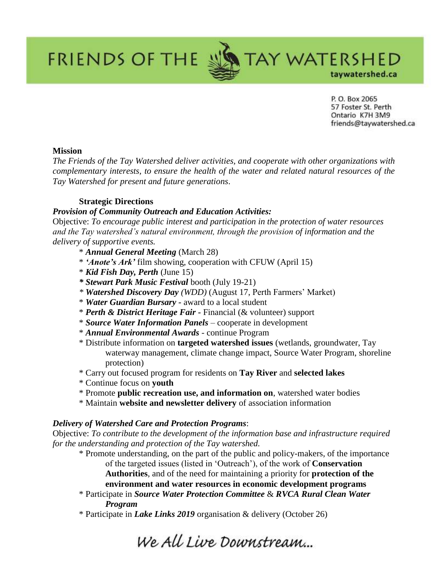P. O. Box 2065 57 Foster St. Perth Ontario K7H 3M9 friends@taywatershed.ca

taywatershed.ca

**TAY WATERSHED** 

# **Mission**

*The Friends of the Tay Watershed deliver activities, and cooperate with other organizations with complementary interests, to ensure the health of the water and related natural resources of the Tay Watershed for present and future generations*.

# **Strategic Directions**

**FRIENDS OF THE &** 

## *Provision of Community Outreach and Education Activities:*

Objective: *To encourage public interest and participation in the protection of water resources and the Tay watershed's natural environment, through the provision of information and the delivery of supportive events.* 

- \* *Annual General Meeting* (March 28)
- \* *'Anote's Ark'* film showing, cooperation with CFUW (April 15)
- \* *Kid Fish Day, Perth* (June 15)
- *\* Stewart Park Music Festival* booth (July 19-21)
- *\* Watershed Discovery Day (WDD)* (August 17, Perth Farmers' Market)
- \* *Water Guardian Bursary -* award to a local student
- \* *Perth & District Heritage Fair -* Financial (& volunteer) support
- \* *Source Water Information Panels* cooperate in development
- \* *Annual Environmental Awards* continue Program
- \* Distribute information on **targeted watershed issues** (wetlands, groundwater, Tay waterway management, climate change impact, Source Water Program, shoreline protection)
- \* Carry out focused program for residents on **Tay River** and **selected lakes**
- \* Continue focus on **youth**
- \* Promote **public recreation use, and information on**, watershed water bodies
- \* Maintain **website and newsletter delivery** of association information

### *Delivery of Watershed Care and Protection Programs*:

Objective: *To contribute to the development of the information base and infrastructure required for the understanding and protection of the Tay watershed.*

\* Promote understanding, on the part of the public and policy-makers, of the importance of the targeted issues (listed in 'Outreach'), of the work of **Conservation Authorities**, and of the need for maintaining a priority for **protection of the environment and water resources in economic development programs**

\* Participate in *Source Water Protection Committee* & *RVCA Rural Clean Water* 

*Program* 

\* Participate in *Lake Links 2019* organisation & delivery (October 26)

We All Live Downstream...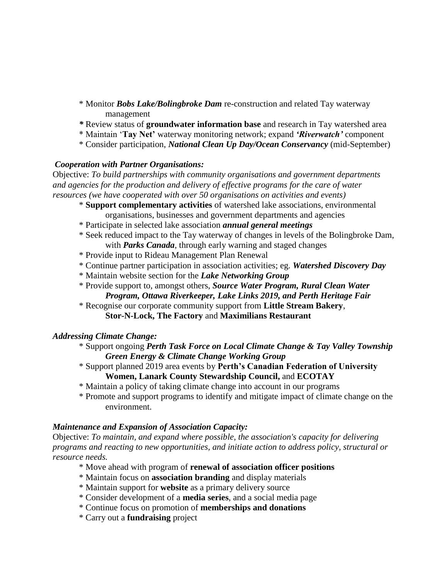- \* Monitor *Bobs Lake/Bolingbroke Dam* re-construction and related Tay waterway management
- *\** Review status of **groundwater information base** and research in Tay watershed area
- \* Maintain '**Tay Net'** waterway monitoring network; expand *'Riverwatch'* component
- \* Consider participation, *National Clean Up Day/Ocean Conservancy* (mid-September)

# *Cooperation with Partner Organisations:*

Objective: *To build partnerships with community organisations and government departments and agencies for the production and delivery of effective programs for the care of water resources (we have cooperated with over 50 organisations on activities and events)* 

- \* **Support complementary activities** of watershed lake associations, environmental organisations, businesses and government departments and agencies
- \* Participate in selected lake association *annual general meetings*
- \* Seek reduced impact to the Tay waterway of changes in levels of the Bolingbroke Dam, with *Parks Canada*, through early warning and staged changes
- \* Provide input to Rideau Management Plan Renewal
- \* Continue partner participation in association activities; eg. *Watershed Discovery Day*
- \* Maintain website section for the *Lake Networking Group*
- \* Provide support to, amongst others, *Source Water Program, Rural Clean Water* 
	- *Program, Ottawa Riverkeeper, Lake Links 2019, and Perth Heritage Fair*
- \* Recognise our corporate community support from **Little Stream Bakery**, **Stor-N-Lock, The Factory** and **Maximilians Restaurant**

# *Addressing Climate Change:*

- \* Support ongoing *Perth Task Force on Local Climate Change & Tay Valley Township Green Energy & Climate Change Working Group*
- \* Support planned 2019 area events by **Perth's Canadian Federation of University Women, Lanark County Stewardship Council,** and **ECOTAY**
- \* Maintain a policy of taking climate change into account in our programs
- \* Promote and support programs to identify and mitigate impact of climate change on the environment.

# *Maintenance and Expansion of Association Capacity:*

Objective: *To maintain, and expand where possible, the association's capacity for delivering programs and reacting to new opportunities, and initiate action to address policy, structural or resource needs.*

- \* Move ahead with program of **renewal of association officer positions**
- \* Maintain focus on **association branding** and display materials
- \* Maintain support for **website** as a primary delivery source
- \* Consider development of a **media series**, and a social media page
- \* Continue focus on promotion of **memberships and donations**
- \* Carry out a **fundraising** project